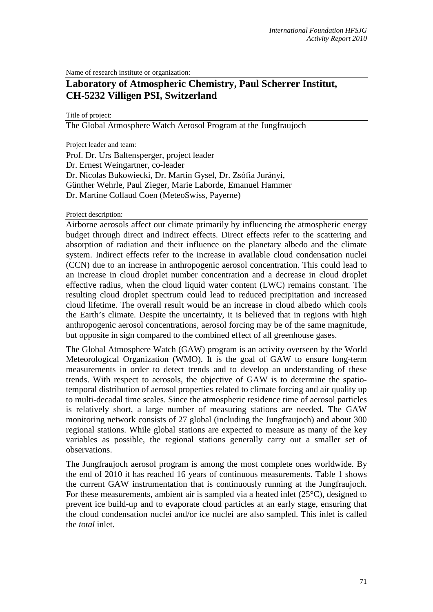Name of research institute or organization:

# **Laboratory of Atmospheric Chemistry, Paul Scherrer Institut, CH-5232 Villigen PSI, Switzerland**

Title of project:

The Global Atmosphere Watch Aerosol Program at the Jungfraujoch

Project leader and team:

Prof. Dr. Urs Baltensperger, project leader Dr. Ernest Weingartner, co-leader Dr. Nicolas Bukowiecki, Dr. Martin Gysel, Dr. Zsófia Jurányi, Günther Wehrle, Paul Zieger, Marie Laborde, Emanuel Hammer Dr. Martine Collaud Coen (MeteoSwiss, Payerne)

Project description:

Airborne aerosols affect our climate primarily by influencing the atmospheric energy budget through direct and indirect effects. Direct effects refer to the scattering and absorption of radiation and their influence on the planetary albedo and the climate system. Indirect effects refer to the increase in available cloud condensation nuclei (CCN) due to an increase in anthropogenic aerosol concentration. This could lead to an increase in cloud droplet number concentration and a decrease in cloud droplet effective radius, when the cloud liquid water content (LWC) remains constant. The resulting cloud droplet spectrum could lead to reduced precipitation and increased cloud lifetime. The overall result would be an increase in cloud albedo which cools the Earth's climate. Despite the uncertainty, it is believed that in regions with high anthropogenic aerosol concentrations, aerosol forcing may be of the same magnitude, but opposite in sign compared to the combined effect of all greenhouse gases.

The Global Atmosphere Watch (GAW) program is an activity overseen by the World Meteorological Organization (WMO). It is the goal of GAW to ensure long-term measurements in order to detect trends and to develop an understanding of these trends. With respect to aerosols, the objective of GAW is to determine the spatiotemporal distribution of aerosol properties related to climate forcing and air quality up to multi-decadal time scales. Since the atmospheric residence time of aerosol particles is relatively short, a large number of measuring stations are needed. The GAW monitoring network consists of 27 global (including the Jungfraujoch) and about 300 regional stations. While global stations are expected to measure as many of the key variables as possible, the regional stations generally carry out a smaller set of observations.

<span id="page-0-0"></span>The Jungfraujoch aerosol program is among the most complete ones worldwide. By the end of 2010 it has reached 16 years of continuous measurements. Table 1 shows the current GAW instrumentation that is continuously running at the Jungfraujoch. For these measurements, ambient air is sampled via a heated inlet (25°C), designed to prevent ice build-up and to evaporate cloud particles at an early stage, ensuring that the cloud condensation nuclei and/or ice nuclei are also sampled. This inlet is called the *total* inlet.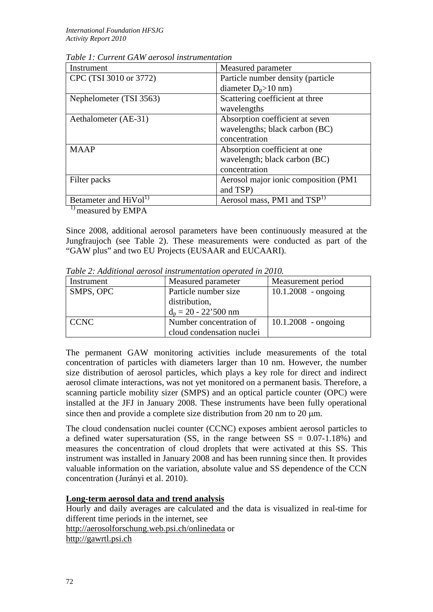| Instrument                        | Measured parameter                      |  |
|-----------------------------------|-----------------------------------------|--|
| CPC (TSI 3010 or 3772)            | Particle number density (particle       |  |
|                                   | diameter $D_p>10$ nm)                   |  |
| Nephelometer (TSI 3563)           | Scattering coefficient at three         |  |
|                                   | wavelengths                             |  |
| Aethalometer (AE-31)              | Absorption coefficient at seven         |  |
|                                   | wavelengths; black carbon (BC)          |  |
|                                   | concentration                           |  |
| <b>MAAP</b>                       | Absorption coefficient at one           |  |
|                                   | wavelength; black carbon (BC)           |  |
|                                   | concentration                           |  |
| Filter packs                      | Aerosol major ionic composition (PM1    |  |
|                                   | and TSP)                                |  |
| Betameter and HiVol <sup>1)</sup> | Aerosol mass, PM1 and TSP <sup>1)</sup> |  |

*Table 1: Current GAW aerosol instrumentation*

 $<sup>1</sup>$  measured by EMPA</sup>

Since 2008, additional aerosol parameters have been continuously measured at the Jungfraujoch (see Table 2). These measurements were conducted as part of the "GAW plus" and two EU Projects (EUSAAR and EUCAARI).

| Tuble $\mu$ , Tuannonal actosol msh ameninibii obchared in $\mu$ oto, |                           |                       |
|-----------------------------------------------------------------------|---------------------------|-----------------------|
| Instrument                                                            | Measured parameter        | Measurement period    |
| SMPS, OPC                                                             | Particle number size      | $10.1.2008 - ongoing$ |
|                                                                       | distribution,             |                       |
|                                                                       | $d_n = 20 - 22'500$ nm    |                       |
| <b>CCNC</b>                                                           | Number concentration of   | $10.1.2008 - ongoing$ |
|                                                                       | cloud condensation nuclei |                       |

*Table 2: Additional aerosol instrumentation operated in 2010.*

The permanent GAW monitoring activities include measurements of the total concentration of particles with diameters larger than 10 nm. However, the number size distribution of aerosol particles, which plays a key role for direct and indirect aerosol climate interactions, was not yet monitored on a permanent basis. Therefore, a scanning particle mobility sizer (SMPS) and an optical particle counter (OPC) were installed at the JFJ in January 2008. These instruments have been fully operational since then and provide a complete size distribution from 20 nm to 20  $\mu$ m.

The cloud condensation nuclei counter (CCNC) exposes ambient aerosol particles to a defined water supersaturation (SS, in the range between  $SS = 0.07 - 1.18\%$ ) and measures the concentration of cloud droplets that were activated at this SS. This instrument was installed in January 2008 and has been running since then. It provides valuable information on the variation, absolute value and SS dependence of the CCN concentration (Jurányi et al. 2010).

# **Long-term aerosol data and trend analysis**

Hourly and daily averages are calculated and the data is visualized in real-time for different time periods in the internet, see <http://aerosolforschung.web.psi.ch/onlinedata> or [http://gawrtl.psi.ch](http://gawrtl.psi.ch/)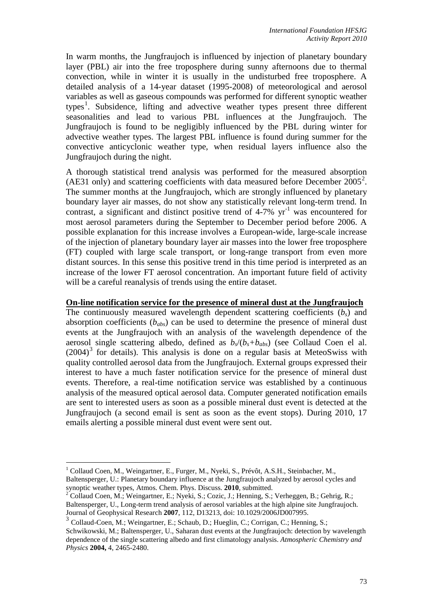In warm months, the Jungfraujoch is influenced by injection of planetary boundary layer (PBL) air into the free troposphere during sunny afternoons due to thermal convection, while in winter it is usually in the undisturbed free troposphere. A detailed analysis of a 14-year dataset (1995-2008) of meteorological and aerosol variables as well as gaseous compounds was performed for different synoptic weather types<sup>[1](#page-0-0)</sup>. Subsidence, lifting and advective weather types present three different seasonalities and lead to various PBL influences at the Jungfraujoch. The Jungfraujoch is found to be negligibly influenced by the PBL during winter for advective weather types. The largest PBL influence is found during summer for the convective anticyclonic weather type, when residual layers influence also the Jungfraujoch during the night.

A thorough statistical trend analysis was performed for the measured absorption (AE31 only) and scattering coefficients with data measured before December  $2005^2$  $2005^2$ . The summer months at the Jungfraujoch, which are strongly influenced by planetary boundary layer air masses, do not show any statistically relevant long-term trend. In contrast, a significant and distinct positive trend of  $4-7\%$  yr<sup>-1</sup> was encountered for most aerosol parameters during the September to December period before 2006. A possible explanation for this increase involves a European-wide, large-scale increase of the injection of planetary boundary layer air masses into the lower free troposphere (FT) coupled with large scale transport, or long-range transport from even more distant sources. In this sense this positive trend in this time period is interpreted as an increase of the lower FT aerosol concentration. An important future field of activity will be a careful reanalysis of trends using the entire dataset.

#### **On-line notification service for the presence of mineral dust at the Jungfraujoch**

The continuously measured wavelength dependent scattering coefficients  $(b<sub>s</sub>)$  and absorption coefficients (*babs*) can be used to determine the presence of mineral dust events at the Jungfraujoch with an analysis of the wavelength dependence of the aerosol single scattering albedo, defined as  $b_s/(b_s+b_{abs})$  (see Collaud Coen el al.  $(2004)^3$  $(2004)^3$  for details). This analysis is done on a regular basis at MeteoSwiss with quality controlled aerosol data from the Jungfraujoch. External groups expressed their interest to have a much faster notification service for the presence of mineral dust events. Therefore, a real-time notification service was established by a continuous analysis of the measured optical aerosol data. Computer generated notification emails are sent to interested users as soon as a possible mineral dust event is detected at the Jungfraujoch (a second email is sent as soon as the event stops). During 2010, 17 emails alerting a possible mineral dust event were sent out.

<sup>&</sup>lt;sup>1</sup> Collaud Coen, M., Weingartner, E., Furger, M., Nyeki, S., Prévôt, A.S.H., Steinbacher, M., Baltensperger, U.: Planetary boundary influence at the Jungfraujoch analyzed by aerosol cycles and synoptic weather types, Atmos. Chem. Phys. Discuss. **2010**, submitted. <sup>2</sup> Collaud Coen, M.; Weingartner, E.; Nyeki, S.; Cozic, J.; Henning, S.; Verheggen, B.; Gehrig, R.;

<span id="page-2-0"></span>Baltensperger, U., Long-term trend analysis of aerosol variables at the high alpine site Jungfraujoch. Journal of Geophysical Research **2007**, 112, D13213, doi: 10.1029/2006JD007995.

<span id="page-2-2"></span><span id="page-2-1"></span><sup>&</sup>lt;sup>3</sup> Collaud-Coen, M.; Weingartner, E.; Schaub, D.; Hueglin, C.; Corrigan, C.; Henning, S.;

Schwikowski, M.; Baltensperger, U., Saharan dust events at the Jungfraujoch: detection by wavelength dependence of the single scattering albedo and first climatology analysis. *Atmospheric Chemistry and Physics* **2004,** 4, 2465-2480.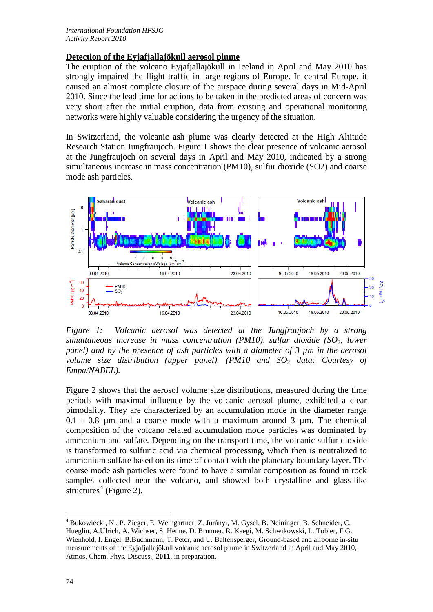# **Detection of the Eyjafjallajökull aerosol plume**

The eruption of the volcano Eyjafjallajökull in Iceland in April and May 2010 has strongly impaired the flight traffic in large regions of Europe. In central Europe, it caused an almost complete closure of the airspace during several days in Mid-April 2010. Since the lead time for actions to be taken in the predicted areas of concern was very short after the initial eruption, data from existing and operational monitoring networks were highly valuable considering the urgency of the situation.

In Switzerland, the volcanic ash plume was clearly detected at the High Altitude Research Station Jungfraujoch. Figure 1 shows the clear presence of volcanic aerosol at the Jungfraujoch on several days in April and May 2010, indicated by a strong simultaneous increase in mass concentration (PM10), sulfur dioxide (SO2) and coarse mode ash particles.



*Figure 1: Volcanic aerosol was detected at the Jungfraujoch by a strong simultaneous increase in mass concentration (PM10), sulfur dioxide (SO<sub>2</sub>, lower panel) and by the presence of ash particles with a diameter of 3 µm in the aerosol volume size distribution (upper panel). (PM10 and SO<sub>2</sub> data: Courtesy of Empa/NABEL).*

Figure 2 shows that the aerosol volume size distributions, measured during the time periods with maximal influence by the volcanic aerosol plume, exhibited a clear bimodality. They are characterized by an accumulation mode in the diameter range  $0.1 - 0.8$  µm and a coarse mode with a maximum around 3 µm. The chemical composition of the volcano related accumulation mode particles was dominated by ammonium and sulfate. Depending on the transport time, the volcanic sulfur dioxide is transformed to sulfuric acid via chemical processing, which then is neutralized to ammonium sulfate based on its time of contact with the planetary boundary layer. The coarse mode ash particles were found to have a similar composition as found in rock samples collected near the volcano, and showed both crystalline and glass-like structures<sup>[4](#page-2-2)</sup> (Figure 2).

<span id="page-3-0"></span> <sup>4</sup> Bukowiecki, N., P. Zieger, E. Weingartner, Z. Jurányi, M. Gysel, B. Neininger, B. Schneider, C. Hueglin, A.Ulrich, A. Wichser, S. Henne, D. Brunner, R. Kaegi, M. Schwikowski, L. Tobler, F.G. Wienhold, I. Engel, B.Buchmann, T. Peter, and U. Baltensperger, Ground-based and airborne in-situ measurements of the Eyjafjallajökull volcanic aerosol plume in Switzerland in April and May 2010, Atmos. Chem. Phys. Discuss., **2011**, in preparation.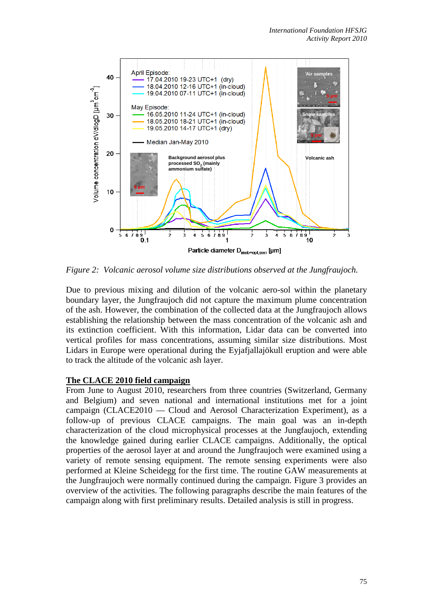

*Figure 2: Volcanic aerosol volume size distributions observed at the Jungfraujoch.*

Due to previous mixing and dilution of the volcanic aero-sol within the planetary boundary layer, the Jungfraujoch did not capture the maximum plume concentration of the ash. However, the combination of the collected data at the Jungfraujoch allows establishing the relationship between the mass concentration of the volcanic ash and its extinction coefficient. With this information, Lidar data can be converted into vertical profiles for mass concentrations, assuming similar size distributions. Most Lidars in Europe were operational during the Eyjafjallajökull eruption and were able to track the altitude of the volcanic ash layer.

#### **The CLACE 2010 field campaign**

From June to August 2010, researchers from three countries (Switzerland, Germany and Belgium) and seven national and international institutions met for a joint campaign (CLACE2010 –– Cloud and Aerosol Characterization Experiment), as a follow-up of previous CLACE campaigns. The main goal was an in-depth characterization of the cloud microphysical processes at the Jungfaujoch, extending the knowledge gained during earlier CLACE campaigns. Additionally, the optical properties of the aerosol layer at and around the Jungfraujoch were examined using a variety of remote sensing equipment. The remote sensing experiments were also performed at Kleine Scheidegg for the first time. The routine GAW measurements at the Jungfraujoch were normally continued during the campaign. Figure 3 provides an overview of the activities. The following paragraphs describe the main features of the campaign along with first preliminary results. Detailed analysis is still in progress.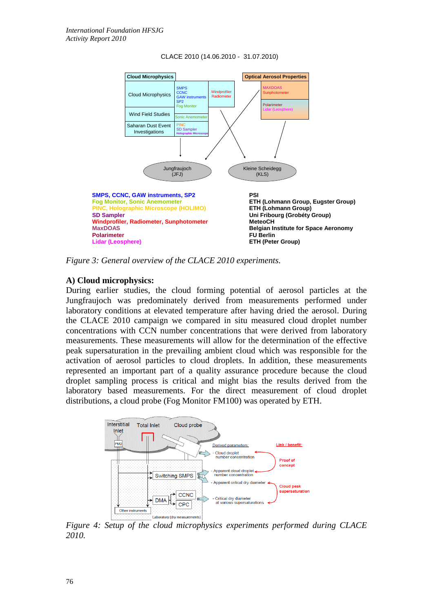



*Figure 3: General overview of the CLACE 2010 experiments.*

## **A) Cloud microphysics:**

During earlier studies, the cloud forming potential of aerosol particles at the Jungfraujoch was predominately derived from measurements performed under laboratory conditions at elevated temperature after having dried the aerosol. During the CLACE 2010 campaign we compared in situ measured cloud droplet number concentrations with CCN number concentrations that were derived from laboratory measurements. These measurements will allow for the determination of the effective peak supersaturation in the prevailing ambient cloud which was responsible for the activation of aerosol particles to cloud droplets. In addition, these measurements represented an important part of a quality assurance procedure because the cloud droplet sampling process is critical and might bias the results derived from the laboratory based measurements. For the direct measurement of cloud droplet distributions, a cloud probe (Fog Monitor FM100) was operated by ETH.



*Figure 4: Setup of the cloud microphysics experiments performed during CLACE 2010.*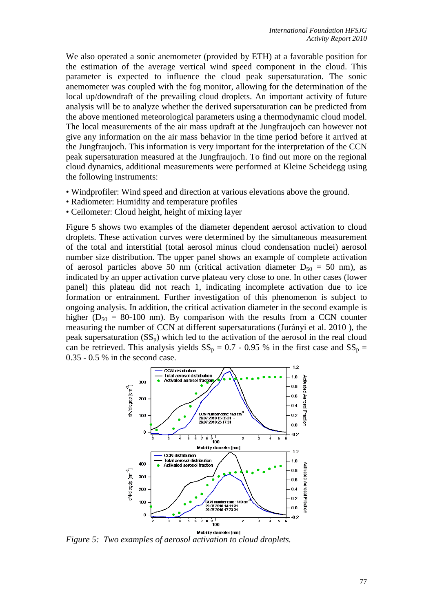We also operated a sonic anemometer (provided by ETH) at a favorable position for the estimation of the average vertical wind speed component in the cloud. This parameter is expected to influence the cloud peak supersaturation. The sonic anemometer was coupled with the fog monitor, allowing for the determination of the local up/downdraft of the prevailing cloud droplets. An important activity of future analysis will be to analyze whether the derived supersaturation can be predicted from the above mentioned meteorological parameters using a thermodynamic cloud model. The local measurements of the air mass updraft at the Jungfraujoch can however not give any information on the air mass behavior in the time period before it arrived at the Jungfraujoch. This information is very important for the interpretation of the CCN peak supersaturation measured at the Jungfraujoch. To find out more on the regional cloud dynamics, additional measurements were performed at Kleine Scheidegg using the following instruments:

- Windprofiler: Wind speed and direction at various elevations above the ground.
- Radiometer: Humidity and temperature profiles
- Ceilometer: Cloud height, height of mixing layer

Figure 5 shows two examples of the diameter dependent aerosol activation to cloud droplets. These activation curves were determined by the simultaneous measurement of the total and interstitial (total aerosol minus cloud condensation nuclei) aerosol number size distribution. The upper panel shows an example of complete activation of aerosol particles above 50 nm (critical activation diameter  $D_{50} = 50$  nm), as indicated by an upper activation curve plateau very close to one. In other cases (lower panel) this plateau did not reach 1, indicating incomplete activation due to ice formation or entrainment. Further investigation of this phenomenon is subject to ongoing analysis. In addition, the critical activation diameter in the second example is higher ( $D_{50} = 80-100$  nm). By comparison with the results from a CCN counter measuring the number of CCN at different supersaturations (Jurányi et al. 2010 ), the peak supersaturation  $(SS_p)$  which led to the activation of the aerosol in the real cloud can be retrieved. This analysis yields  $SS_p = 0.7 - 0.95$  % in the first case and  $SS_p =$ 0.35 - 0.5 % in the second case.



*Figure 5: Two examples of aerosol activation to cloud droplets.*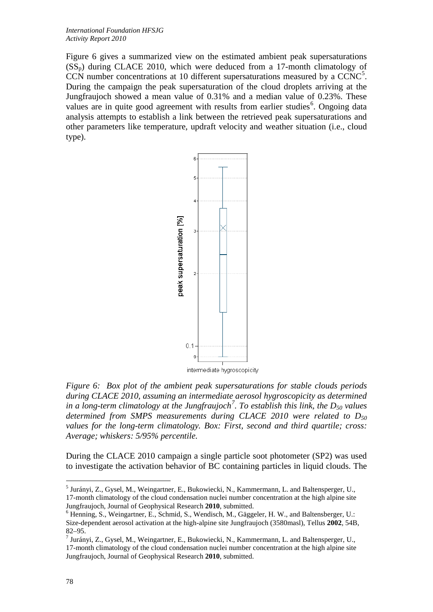Figure 6 gives a summarized view on the estimated ambient peak supersaturations  $(SS<sub>p</sub>)$  during CLACE 2010, which were deduced from a 17-month climatology of CCN number concentrations at 10 different supersaturations measured by a  $CCNC<sup>5</sup>$  $CCNC<sup>5</sup>$  $CCNC<sup>5</sup>$ . During the campaign the peak supersaturation of the cloud droplets arriving at the Jungfraujoch showed a mean value of 0.31% and a median value of 0.23%. These values are in quite good agreement with results from earlier studies<sup>[6](#page-7-0)</sup>. Ongoing data analysis attempts to establish a link between the retrieved peak supersaturations and other parameters like temperature, updraft velocity and weather situation (i.e., cloud type).



*Figure 6: Box plot of the ambient peak supersaturations for stable clouds periods during CLACE 2010, assuming an intermediate aerosol hygroscopicity as determined in* a long-term climatology at the Jungfraujoch<sup>[7](#page-7-1)</sup>. To establish this link, the D<sub>50</sub> values *determined from SMPS measurements during CLACE 2010 were related to D50 values for the long-term climatology. Box: First, second and third quartile; cross: Average; whiskers: 5/95% percentile.*

During the CLACE 2010 campaign a single particle soot photometer (SP2) was used to investigate the activation behavior of BC containing particles in liquid clouds. The

 <sup>5</sup> Jurányi, Z., Gysel, M., Weingartner, E., Bukowiecki, N., Kammermann, L. and Baltensperger, U., 17-month climatology of the cloud condensation nuclei number concentration at the high alpine site<br>Jungfraujoch, Journal of Geophysical Research 2010, submitted.

<span id="page-7-0"></span><sup>&</sup>lt;sup>6</sup> Henning, S., Weingartner, E., Schmid, S., Wendisch, M., Gäggeler, H. W., and Baltensberger, U.: Size-dependent aerosol activation at the high-alpine site Jungfraujoch (3580masl), Tellus **2002**, 54B,

<span id="page-7-1"></span> $<sup>7</sup>$  Jurányi, Z., Gysel, M., Weingartner, E., Bukowiecki, N., Kammermann, L. and Baltensperger, U.,</sup> 17-month climatology of the cloud condensation nuclei number concentration at the high alpine site Jungfraujoch, Journal of Geophysical Research **2010**, submitted.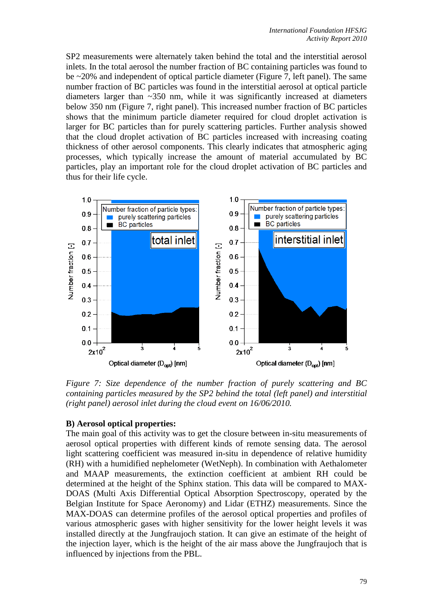SP2 measurements were alternately taken behind the total and the interstitial aerosol inlets. In the total aerosol the number fraction of BC containing particles was found to be ~20% and independent of optical particle diameter (Figure 7, left panel). The same number fraction of BC particles was found in the interstitial aerosol at optical particle diameters larger than ~350 nm, while it was significantly increased at diameters below 350 nm (Figure 7, right panel). This increased number fraction of BC particles shows that the minimum particle diameter required for cloud droplet activation is larger for BC particles than for purely scattering particles. Further analysis showed that the cloud droplet activation of BC particles increased with increasing coating thickness of other aerosol components. This clearly indicates that atmospheric aging processes, which typically increase the amount of material accumulated by BC particles, play an important role for the cloud droplet activation of BC particles and thus for their life cycle.



*Figure 7: Size dependence of the number fraction of purely scattering and BC containing particles measured by the SP2 behind the total (left panel) and interstitial (right panel) aerosol inlet during the cloud event on 16/06/2010.*

#### **B) Aerosol optical properties:**

The main goal of this activity was to get the closure between in-situ measurements of aerosol optical properties with different kinds of remote sensing data. The aerosol light scattering coefficient was measured in-situ in dependence of relative humidity (RH) with a humidified nephelometer (WetNeph). In combination with Aethalometer and MAAP measurements, the extinction coefficient at ambient RH could be determined at the height of the Sphinx station. This data will be compared to MAX-DOAS (Multi Axis Differential Optical Absorption Spectroscopy, operated by the Belgian Institute for Space Aeronomy) and Lidar (ETHZ) measurements. Since the MAX-DOAS can determine profiles of the aerosol optical properties and profiles of various atmospheric gases with higher sensitivity for the lower height levels it was installed directly at the Jungfraujoch station. It can give an estimate of the height of the injection layer, which is the height of the air mass above the Jungfraujoch that is influenced by injections from the PBL.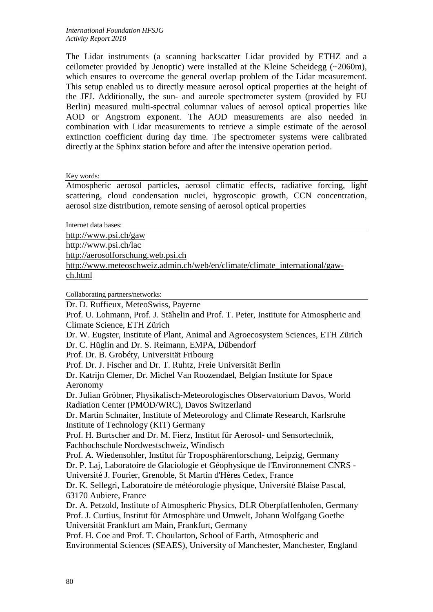The Lidar instruments (a scanning backscatter Lidar provided by ETHZ and a ceilometer provided by Jenoptic) were installed at the Kleine Scheidegg (~2060m), which ensures to overcome the general overlap problem of the Lidar measurement. This setup enabled us to directly measure aerosol optical properties at the height of the JFJ. Additionally, the sun- and aureole spectrometer system (provided by FU Berlin) measured multi-spectral columnar values of aerosol optical properties like AOD or Angstrom exponent. The AOD measurements are also needed in combination with Lidar measurements to retrieve a simple estimate of the aerosol extinction coefficient during day time. The spectrometer systems were calibrated directly at the Sphinx station before and after the intensive operation period.

Key words:

Atmospheric aerosol particles, aerosol climatic effects, radiative forcing, light scattering, cloud condensation nuclei, hygroscopic growth, CCN concentration, aerosol size distribution, remote sensing of aerosol optical properties

Internet data bases:

<http://www.psi.ch/gaw> <http://www.psi.ch/lac> [http://aerosolforschung.web.psi.ch](http://aerosolforschung.web.psi.ch/) 

[http://www.meteoschweiz.admin.ch/web/en/climate/climate\\_international/gaw](http://www.meteoschweiz.admin.ch/web/en/climate/climate_international/gaw-ch.html)[ch.html](http://www.meteoschweiz.admin.ch/web/en/climate/climate_international/gaw-ch.html)

Collaborating partners/networks:

Dr. D. Ruffieux, MeteoSwiss, Payerne

Prof. U. Lohmann, Prof. J. Stähelin and Prof. T. Peter, Institute for Atmospheric and Climate Science, ETH Zürich

Dr. W. Eugster, Institute of Plant, Animal and Agroecosystem Sciences, ETH Zürich Dr. C. Hüglin and Dr. S. Reimann, EMPA, Dübendorf

Prof. Dr. B. Grobéty, Universität Fribourg

Prof. Dr. J. Fischer and Dr. T. Ruhtz, Freie Universität Berlin

Dr. Katrijn Clemer, Dr. Michel Van Roozendael, Belgian Institute for Space Aeronomy

Dr. Julian Gröbner, Physikalisch-Meteorologisches Observatorium Davos, World Radiation Center (PMOD/WRC), Davos Switzerland

Dr. Martin Schnaiter, Institute of Meteorology and Climate Research, Karlsruhe Institute of Technology (KIT) Germany

Prof. H. Burtscher and Dr. M. Fierz, Institut für Aerosol- und Sensortechnik, Fachhochschule Nordwestschweiz, Windisch

Prof. A. Wiedensohler, Institut für Troposphärenforschung, Leipzig, Germany Dr. P. Laj, Laboratoire de Glaciologie et Géophysique de l'Environnement CNRS -

Université J. Fourier, Grenoble, St Martin d'Hères Cedex, France

Dr. K. Sellegri, Laboratoire de météorologie physique, Université Blaise Pascal, 63170 Aubiere, France

Dr. A. Petzold, Institute of Atmospheric Physics, DLR Oberpfaffenhofen, Germany Prof. J. Curtius, Institut für Atmosphäre und Umwelt, Johann Wolfgang Goethe Universität Frankfurt am Main, Frankfurt, Germany

Prof. H. Coe and Prof. T. Choularton, School of Earth, Atmospheric and Environmental Sciences (SEAES), University of Manchester, Manchester, England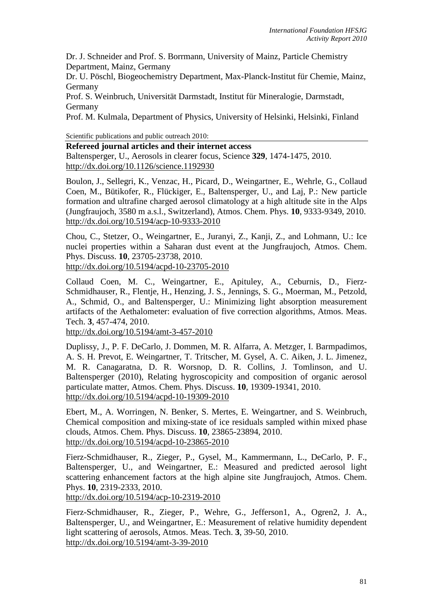Dr. J. Schneider and Prof. S. Borrmann, University of Mainz, Particle Chemistry Department, Mainz, Germany

Dr. U. Pöschl, Biogeochemistry Department, Max-Planck-Institut für Chemie, Mainz, Germany

Prof. S. Weinbruch, Universität Darmstadt, Institut für Mineralogie, Darmstadt, Germany

Prof. M. Kulmala, Department of Physics, University of Helsinki, Helsinki, Finland

Scientific publications and public outreach 2010:

#### **Refereed journal articles and their internet access** Baltensperger, U., Aerosols in clearer focus, Science **329**, 1474-1475, 2010. <http://dx.doi.org/10.1126/science.1192930>

Boulon, J., Sellegri, K., Venzac, H., Picard, D., Weingartner, E., Wehrle, G., Collaud Coen, M., Bütikofer, R., Flückiger, E., Baltensperger, U., and Laj, P.: New particle formation and ultrafine charged aerosol climatology at a high altitude site in the Alps (Jungfraujoch, 3580 m a.s.l., Switzerland), Atmos. Chem. Phys. **10**, 9333-9349, 2010. <http://dx.doi.org/10.5194/acp-10-9333-2010>

Chou, C., Stetzer, O., Weingartner, E., Juranyi, Z., Kanji, Z., and Lohmann, U.: Ice nuclei properties within a Saharan dust event at the Jungfraujoch, Atmos. Chem. Phys. Discuss. **10**, 23705-23738, 2010. <http://dx.doi.org/10.5194/acpd-10-23705-2010>

Collaud Coen, M. C., Weingartner, E., Apituley, A., Ceburnis, D., Fierz-Schmidhauser, R., Flentje, H., Henzing, J. S., Jennings, S. G., Moerman, M., Petzold, A., Schmid, O., and Baltensperger, U.: Minimizing light absorption measurement artifacts of the Aethalometer: evaluation of five correction algorithms, Atmos. Meas. Tech. **3**, 457-474, 2010.

<http://dx.doi.org/10.5194/amt-3-457-2010>

Duplissy, J., P. F. DeCarlo, J. Dommen, M. R. Alfarra, A. Metzger, I. Barmpadimos, A. S. H. Prevot, E. Weingartner, T. Tritscher, M. Gysel, A. C. Aiken, J. L. Jimenez, M. R. Canagaratna, D. R. Worsnop, D. R. Collins, J. Tomlinson, and U. Baltensperger (2010), Relating hygroscopicity and composition of organic aerosol particulate matter, Atmos. Chem. Phys. Discuss. **10**, 19309-19341, 2010. <http://dx.doi.org/10.5194/acpd-10-19309-2010>

Ebert, M., A. Worringen, N. Benker, S. Mertes, E. Weingartner, and S. Weinbruch, Chemical composition and mixing-state of ice residuals sampled within mixed phase clouds, Atmos. Chem. Phys. Discuss. **10**, 23865-23894, 2010. <http://dx.doi.org/10.5194/acpd-10-23865-2010>

Fierz-Schmidhauser, R., Zieger, P., Gysel, M., Kammermann, L., DeCarlo, P. F., Baltensperger, U., and Weingartner, E.: Measured and predicted aerosol light scattering enhancement factors at the high alpine site Jungfraujoch, Atmos. Chem. Phys. **10**, 2319-2333, 2010.

<http://dx.doi.org/10.5194/acp-10-2319-2010>

Fierz-Schmidhauser, R., Zieger, P., Wehre, G., Jefferson1, A., Ogren2, J. A., Baltensperger, U., and Weingartner, E.: Measurement of relative humidity dependent light scattering of aerosols, Atmos. Meas. Tech. **3**, 39-50, 2010. <http://dx.doi.org/10.5194/amt-3-39-2010>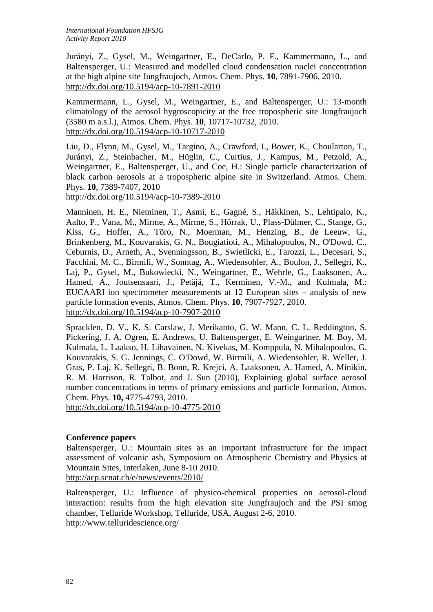Jurányi, Z., Gysel, M., Weingartner, E., DeCarlo, P. F., Kammermann, L., and Baltensperger, U.: Measured and modelled cloud condensation nuclei concentration at the high alpine site Jungfraujoch, Atmos. Chem. Phys. **10**, 7891-7906, 2010. <http://dx.doi.org/10.5194/acp-10-7891-2010>

Kammermann, L., Gysel, M., Weingartner, E., and Baltensperger, U.: 13-month climatology of the aerosol hygroscopicity at the free tropospheric site Jungfraujoch (3580 m a.s.l.), Atmos. Chem. Phys. **10**, 10717-10732, 2010. <http://dx.doi.org/10.5194/acp-10-10717-2010>

Liu, D., Flynn, M., Gysel, M., Targino, A., Crawford, I., Bower, K., Choularton, T., Jurányi, Z., Steinbacher, M., Hüglin, C., Curtius, J., Kampus, M., Petzold, A., Weingartner, E., Baltensperger, U., and Coe, H.: Single particle characterization of black carbon aerosols at a tropospheric alpine site in Switzerland. Atmos. Chem. Phys. **10**, 7389-7407, 2010

<http://dx.doi.org/10.5194/acp-10-7389-2010>

Manninen, H. E., Nieminen, T., Asmi, E., Gagné, S., Häkkinen, S., Lehtipalo, K., Aalto, P., Vana, M., Mirme, A., Mirme, S., Hõrrak, U., Plass-Dülmer, C., Stange, G., Kiss, G., Hoffer, A., Töro, N., Moerman, M., Henzing, B., de Leeuw, G., Brinkenberg, M., Kouvarakis, G. N., Bougiatioti, A., Mihalopoulos, N., O'Dowd, C., Ceburnis, D., Arneth, A., Svenningsson, B., Swietlicki, E., Tarozzi, L., Decesari, S., Facchini, M. C., Birmili, W., Sonntag, A., Wiedensohler, A., Boulon, J., Sellegri, K., Laj, P., Gysel, M., Bukowiecki, N., Weingartner, E., Wehrle, G., Laaksonen, A., Hamed, A., Joutsensaari, J., Petäjä, T., Kerminen, V.-M., and Kulmala, M.: EUCAARI ion spectrometer measurements at 12 European sites – analysis of new particle formation events, Atmos. Chem. Phys. **10**, 7907-7927, 2010. <http://dx.doi.org/10.5194/acp-10-7907-2010>

Spracklen, D. V., K. S. Carslaw, J. Merikanto, G. W. Mann, C. L. Reddington, S. Pickering, J. A. Ogren, E. Andrews, U. Baltensperger, E. Weingartner, M. Boy, M. Kulmala, L. Laakso, H. Lihavainen, N. Kivekas, M. Komppula, N. Mihalopoulos, G. Kouvarakis, S. G. Jennings, C. O'Dowd, W. Birmili, A. Wiedensohler, R. Weller, J. Gras, P. Laj, K. Sellegri, B. Bonn, R. Krejci, A. Laaksonen, A. Hamed, A. Minikin, R. M. Harrison, R. Talbot, and J. Sun (2010), Explaining global surface aerosol number concentrations in terms of primary emissions and particle formation, Atmos. Chem. Phys. **10,** 4775-4793, 2010.

<http://dx.doi.org/10.5194/acp-10-4775-2010>

#### **Conference papers**

Baltensperger, U.: Mountain sites as an important infrastructure for the impact assessment of volcanic ash, Symposium on Atmospheric Chemistry and Physics at Mountain Sites, Interlaken, June 8-10 2010.

<http://acp.scnat.ch/e/news/events/2010/>

Baltensperger, U.: Influence of physico-chemical properties on aerosol-cloud interaction: results from the high elevation site Jungfraujoch and the PSI smog chamber, Telluride Workshop, Telluride, USA, August 2-6, 2010. <http://www.telluridescience.org/>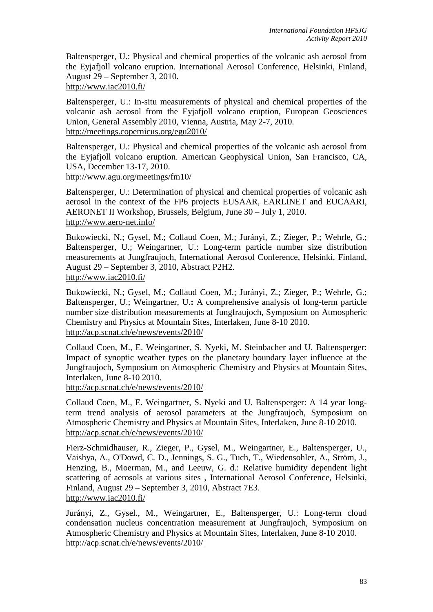Baltensperger, U.: Physical and chemical properties of the volcanic ash aerosol from the Eyjafjoll volcano eruption. International Aerosol Conference, Helsinki, Finland, August 29 – September 3, 2010. <http://www.iac2010.fi/>

Baltensperger, U.: In-situ measurements of physical and chemical properties of the volcanic ash aerosol from the Eyjafjoll volcano eruption, European Geosciences Union, General Assembly 2010, Vienna, Austria, May 2-7, 2010. <http://meetings.copernicus.org/egu2010/>

Baltensperger, U.: Physical and chemical properties of the volcanic ash aerosol from the Eyjafjoll volcano eruption. American Geophysical Union, San Francisco, CA, USA, December 13-17, 2010.

<http://www.agu.org/meetings/fm10/>

Baltensperger, U.: Determination of physical and chemical properties of volcanic ash aerosol in the context of the FP6 projects EUSAAR, EARLINET and EUCAARI, AERONET II Workshop, Brussels, Belgium, June 30 – July 1, 2010. <http://www.aero-net.info/>

Bukowiecki, N.; Gysel, M.; Collaud Coen, M.; Jurányi, Z.; Zieger, P.; Wehrle, G.; Baltensperger, U.; Weingartner, U.: Long-term particle number size distribution measurements at Jungfraujoch, International Aerosol Conference, Helsinki, Finland, August 29 – September 3, 2010, Abstract P2H2. <http://www.iac2010.fi/>

Bukowiecki, N.; Gysel, M.; Collaud Coen, M.; Jurányi, Z.; Zieger, P.; Wehrle, G.; Baltensperger, U.; Weingartner, U.**:** A comprehensive analysis of long-term particle number size distribution measurements at Jungfraujoch, Symposium on Atmospheric Chemistry and Physics at Mountain Sites, Interlaken, June 8-10 2010. <http://acp.scnat.ch/e/news/events/2010/>

Collaud Coen, M., E. Weingartner, S. Nyeki, M. Steinbacher and U. Baltensperger: Impact of synoptic weather types on the planetary boundary layer influence at the Jungfraujoch, Symposium on Atmospheric Chemistry and Physics at Mountain Sites, Interlaken, June 8-10 2010.

<http://acp.scnat.ch/e/news/events/2010/>

Collaud Coen, M., E. Weingartner, S. Nyeki and U. Baltensperger: A 14 year longterm trend analysis of aerosol parameters at the Jungfraujoch, Symposium on Atmospheric Chemistry and Physics at Mountain Sites, Interlaken, June 8-10 2010. <http://acp.scnat.ch/e/news/events/2010/>

Fierz-Schmidhauser, R., Zieger, P., Gysel, M., Weingartner, E., Baltensperger, U., Vaishya, A., O'Dowd, C. D., Jennings, S. G., Tuch, T., Wiedensohler, A., Ström, J., Henzing, B., Moerman, M., and Leeuw, G. d.: Relative humidity dependent light scattering of aerosols at various sites , International Aerosol Conference, Helsinki, Finland, August 29 – September 3, 2010, Abstract 7E3. <http://www.iac2010.fi/>

Jurányi, Z., Gysel., M., Weingartner, E., Baltensperger, U.: Long-term cloud condensation nucleus concentration measurement at Jungfraujoch, Symposium on Atmospheric Chemistry and Physics at Mountain Sites, Interlaken, June 8-10 2010. <http://acp.scnat.ch/e/news/events/2010/>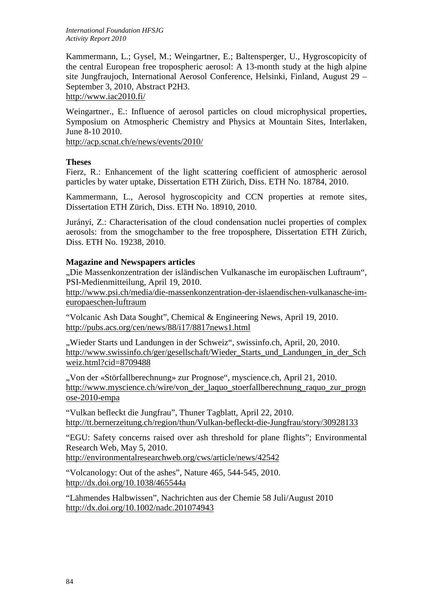Kammermann, L.; Gysel, M.; Weingartner, E.; Baltensperger, U., Hygroscopicity of the central European free tropospheric aerosol: A 13-month study at the high alpine site Jungfraujoch, International Aerosol Conference, Helsinki, Finland, August 29 – September 3, 2010, Abstract P2H3.

<http://www.iac2010.fi/>

Weingartner., E.: Influence of aerosol particles on cloud microphysical properties, Symposium on Atmospheric Chemistry and Physics at Mountain Sites, Interlaken, June 8-10 2010.

<http://acp.scnat.ch/e/news/events/2010/>

#### **Theses**

Fierz, R.: Enhancement of the light scattering coefficient of atmospheric aerosol particles by water uptake, Dissertation ETH Zürich, Diss. ETH No. 18784, 2010.

Kammermann, L., Aerosol hygroscopicity and CCN properties at remote sites, Dissertation ETH Zürich, Diss. ETH No. 18910, 2010.

Jurányi, Z.: Characterisation of the cloud condensation nuclei properties of complex aerosols: from the smogchamber to the free troposphere, Dissertation ETH Zürich, Diss. ETH No. 19238, 2010.

## **Magazine and Newspapers articles**

"Die Massenkonzentration der isländischen Vulkanasche im europäischen Luftraum", PSI-Medienmitteilung, April 19, 2010.

[http://www.psi.ch/media/die-massenkonzentration-der-islaendischen-vulkanasche-im](http://www.psi.ch/media/die-massenkonzentration-der-islaendischen-vulkanasche-im-europaeschen-luftraum)[europaeschen-luftraum](http://www.psi.ch/media/die-massenkonzentration-der-islaendischen-vulkanasche-im-europaeschen-luftraum)

"Volcanic Ash Data Sought", Chemical & Engineering News, April 19, 2010. <http://pubs.acs.org/cen/news/88/i17/8817news1.html>

"Wieder Starts und Landungen in der Schweiz", swissinfo.ch, April, 20, 2010. [http://www.swissinfo.ch/ger/gesellschaft/Wieder\\_Starts\\_und\\_Landungen\\_in\\_der\\_Sch](http://www.swissinfo.ch/ger/gesellschaft/Wieder_Starts_und_Landungen_in_der_Schweiz.html?cid=8709488) [weiz.html?cid=8709488](http://www.swissinfo.ch/ger/gesellschaft/Wieder_Starts_und_Landungen_in_der_Schweiz.html?cid=8709488)

"Von der «Störfallberechnung» zur Prognose", myscience.ch, April 21, 2010. [http://www.myscience.ch/wire/von\\_der\\_laquo\\_stoerfallberechnung\\_raquo\\_zur\\_progn](http://www.myscience.ch/wire/von_der_laquo_stoerfallberechnung_raquo_zur_prognose-2010-empa) [ose-2010-empa](http://www.myscience.ch/wire/von_der_laquo_stoerfallberechnung_raquo_zur_prognose-2010-empa)

"Vulkan befleckt die Jungfrau", Thuner Tagblatt, April 22, 2010. <http://tt.bernerzeitung.ch/region/thun/Vulkan-befleckt-die-Jungfrau/story/30928133>

"EGU: Safety concerns raised over ash threshold for plane flights"; Environmental Research Web, May 5, 2010.

<http://environmentalresearchweb.org/cws/article/news/42542>

"Volcanology: Out of the ashes", Nature 465, 544-545, 2010. <http://dx.doi.org/10.1038/465544a>

"Lähmendes Halbwissen", Nachrichten aus der Chemie 58 Juli/August 2010 <http://dx.doi.org/10.1002/nadc.201074943>